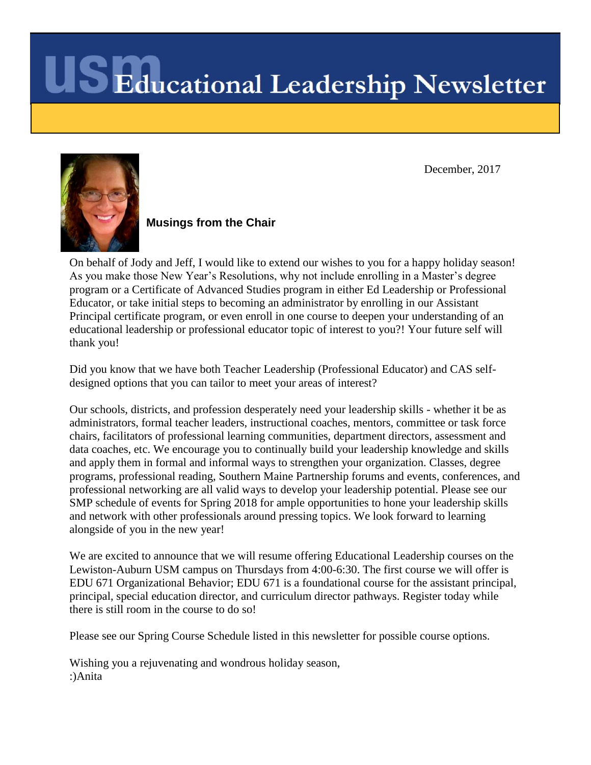December, 2017



**Musings from the Chair**

On behalf of Jody and Jeff, I would like to extend our wishes to you for a happy holiday season! As you make those New Year's Resolutions, why not include enrolling in a Master's degree program or a Certificate of Advanced Studies program in either Ed Leadership or Professional Educator, or take initial steps to becoming an administrator by enrolling in our Assistant Principal certificate program, or even enroll in one course to deepen your understanding of an educational leadership or professional educator topic of interest to you?! Your future self will thank you!

Did you know that we have both Teacher Leadership (Professional Educator) and CAS selfdesigned options that you can tailor to meet your areas of interest?

Our schools, districts, and profession desperately need your leadership skills - whether it be as administrators, formal teacher leaders, instructional coaches, mentors, committee or task force chairs, facilitators of professional learning communities, department directors, assessment and data coaches, etc. We encourage you to continually build your leadership knowledge and skills and apply them in formal and informal ways to strengthen your organization. Classes, degree programs, professional reading, Southern Maine Partnership forums and events, conferences, and professional networking are all valid ways to develop your leadership potential. Please see our SMP schedule of events for Spring 2018 for ample opportunities to hone your leadership skills and network with other professionals around pressing topics. We look forward to learning alongside of you in the new year!

We are excited to announce that we will resume offering Educational Leadership courses on the Lewiston-Auburn USM campus on Thursdays from 4:00-6:30. The first course we will offer is EDU 671 Organizational Behavior; EDU 671 is a foundational course for the assistant principal, principal, special education director, and curriculum director pathways. Register today while there is still room in the course to do so!

Please see our Spring Course Schedule listed in this newsletter for possible course options.

Wishing you a rejuvenating and wondrous holiday season, :)Anita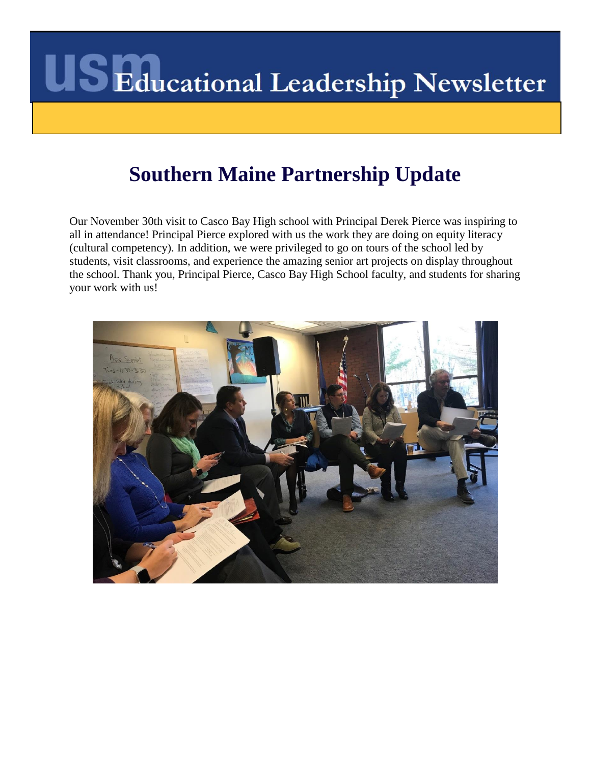### **Southern Maine Partnership Update**

Our November 30th visit to Casco Bay High school with Principal Derek Pierce was inspiring to all in attendance! Principal Pierce explored with us the work they are doing on equity literacy (cultural competency). In addition, we were privileged to go on tours of the school led by students, visit classrooms, and experience the amazing senior art projects on display throughout the school. Thank you, Principal Pierce, Casco Bay High School faculty, and students for sharing your work with us!

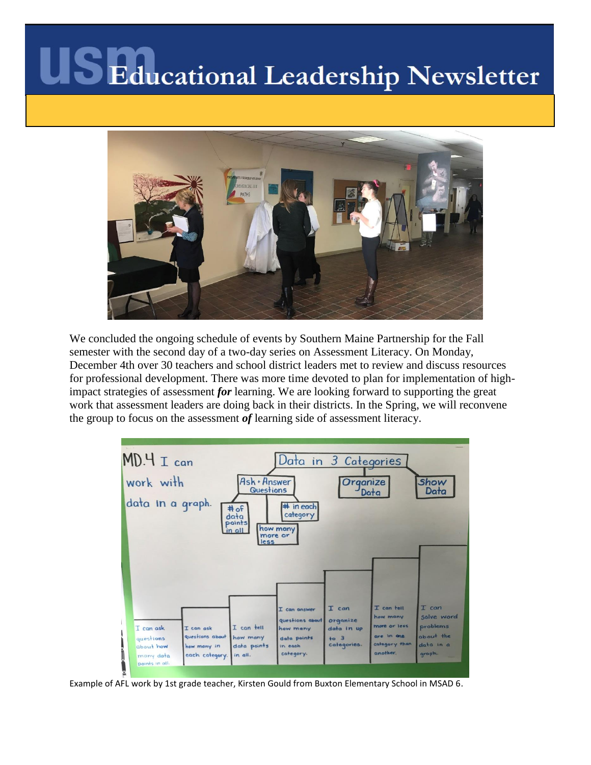

We concluded the ongoing schedule of events by Southern Maine Partnership for the Fall semester with the second day of a two-day series on Assessment Literacy. On Monday, December 4th over 30 teachers and school district leaders met to review and discuss resources for professional development. There was more time devoted to plan for implementation of highimpact strategies of assessment *for* learning. We are looking forward to supporting the great work that assessment leaders are doing back in their districts. In the Spring, we will reconvene the group to focus on the assessment *of* learning side of assessment literacy.



Example of AFL work by 1st grade teacher, Kirsten Gould from Buxton Elementary School in MSAD 6.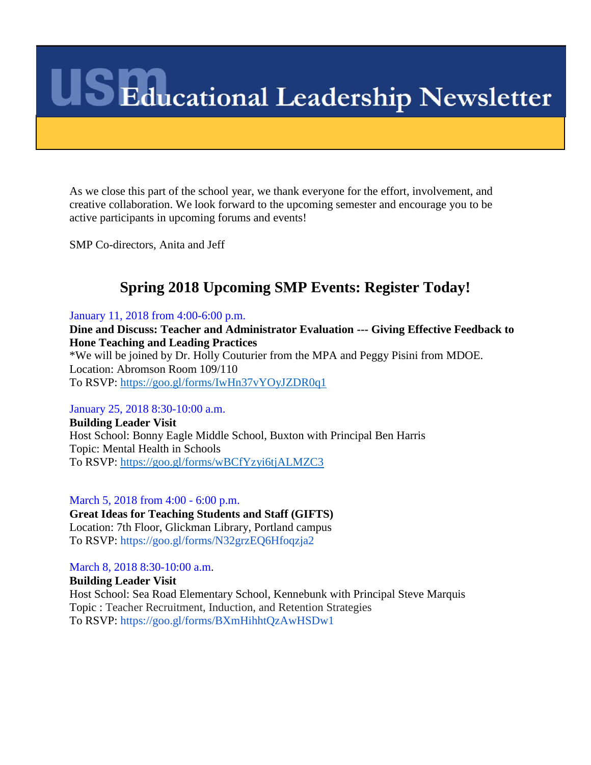As we close this part of the school year, we thank everyone for the effort, involvement, and creative collaboration. We look forward to the upcoming semester and encourage you to be active participants in upcoming forums and events!

SMP Co-directors, Anita and Jeff

### **Spring 2018 Upcoming SMP Events: Register Today!**

January 11, 2018 from 4:00-6:00 p.m.

**Dine and Discuss: Teacher and Administrator Evaluation --- Giving Effective Feedback to Hone Teaching and Leading Practices** \*We will be joined by Dr. Holly Couturier from the MPA and Peggy Pisini from MDOE. Location: Abromson Room 109/110 To RSVP:<https://goo.gl/forms/IwHn37vYOyJZDR0q1>

January 25, 2018 8:30-10:00 a.m.

**Building Leader Visit** Host School: Bonny Eagle Middle School, Buxton with Principal Ben Harris Topic: Mental Health in Schools To RSVP:<https://goo.gl/forms/wBCfYzyi6tjALMZC3>

March 5, 2018 from 4:00 - 6:00 p.m.

**Great Ideas for Teaching Students and Staff (GIFTS)** Location: 7th Floor, Glickman Library, Portland campus To RSVP: https://goo.gl/forms/N32grzEQ6Hfoqzja2

March 8, 2018 8:30-10:00 a.m.

**Building Leader Visit** Host School: Sea Road Elementary School, Kennebunk with Principal Steve Marquis Topic : Teacher Recruitment, Induction, and Retention Strategies To RSVP: https://goo.gl/forms/BXmHihhtQzAwHSDw1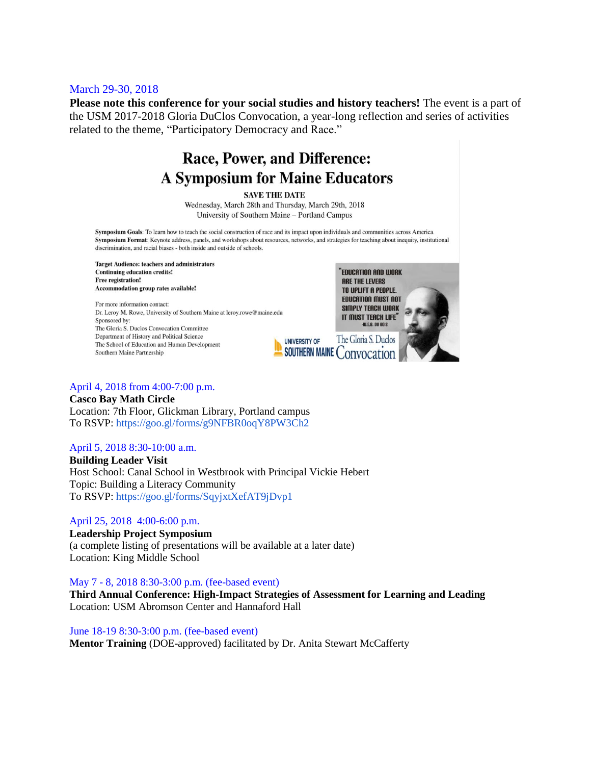#### March 29-30, 2018

**Please note this conference for your social studies and history teachers!** The event is a part of the USM 2017-2018 Gloria DuClos Convocation, a year-long reflection and series of activities related to the theme, "Participatory Democracy and Race."

### Race, Power, and Difference: **A Symposium for Maine Educators**

**SAVE THE DATE** 

Wednesday, March 28th and Thursday, March 29th, 2018 University of Southern Maine - Portland Campus

Symposium Goals: To learn how to teach the social construction of race and its impact upon individuals and communities across America. Symposium Format: Keynote address, panels, and workshops about resources, networks, and strategies for teaching about inequity, institutional discrimination, and racial biases - both inside and outside of schools.

**Target Audience: teachers and administrators Continuing education credits!** Free registration! Accommodation group rates available!

For more information contact: Dr. Leroy M. Rowe, University of Southern Maine at leroy.rowe@maine.edu Sponsored by: The Gloria S. Duclos Convocation Committee Department of History and Political Science The School of Education and Human Development Southern Maine Partnership



#### April 4, 2018 from 4:00-7:00 p.m.

**Casco Bay Math Circle** Location: 7th Floor, Glickman Library, Portland campus To RSVP: https://goo.gl/forms/g9NFBR0oqY8PW3Ch2

#### April 5, 2018 8:30-10:00 a.m.

**Building Leader Visit** Host School: Canal School in Westbrook with Principal Vickie Hebert Topic: Building a Literacy Community To RSVP: https://goo.gl/forms/SqyjxtXefAT9jDvp1

#### April 25, 2018 4:00-6:00 p.m.

**Leadership Project Symposium**  (a complete listing of presentations will be available at a later date) Location: King Middle School

May 7 - 8, 2018 8:30-3:00 p.m. (fee-based event)

**Third Annual Conference: High-Impact Strategies of Assessment for Learning and Leading**  Location: USM Abromson Center and Hannaford Hall

June 18-19 8:30-3:00 p.m. (fee-based event) **Mentor Training** (DOE-approved) facilitated by Dr. Anita Stewart McCafferty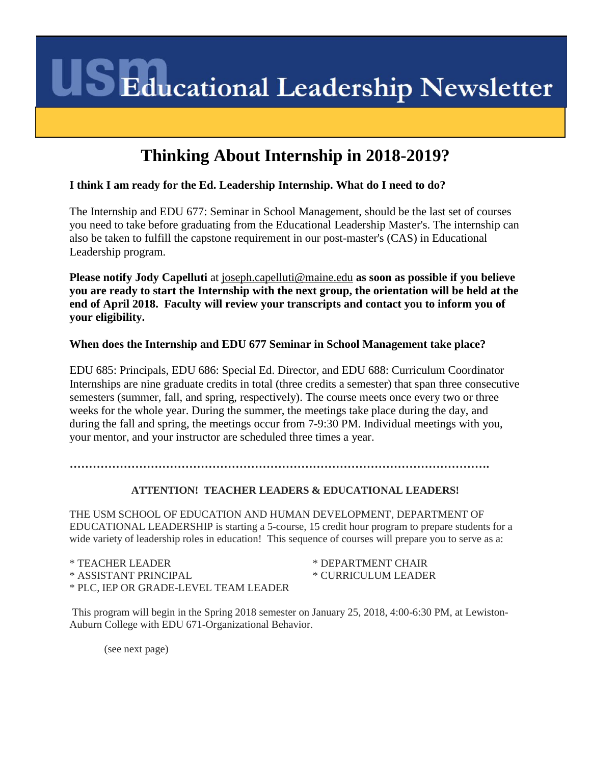### **Thinking About Internship in 2018-2019?**

#### **I think I am ready for the Ed. Leadership Internship. What do I need to do?**

The Internship and EDU 677: Seminar in School Management, should be the last set of courses you need to take before graduating from the Educational Leadership Master's. The internship can also be taken to fulfill the capstone requirement in our post-master's (CAS) in Educational Leadership program.

**Please notify Jody Capelluti** at [joseph.capelluti@maine.edu](mailto:joseph.capelluti@maine.edu) **as soon as possible if you believe you are ready to start the Internship with the next group, the orientation will be held at the end of April 2018. Faculty will review your transcripts and contact you to inform you of your eligibility.**

#### **When does the Internship and EDU 677 Seminar in School Management take place?**

EDU 685: Principals, EDU 686: Special Ed. Director, and EDU 688: Curriculum Coordinator Internships are nine graduate credits in total (three credits a semester) that span three consecutive semesters (summer, fall, and spring, respectively). The course meets once every two or three weeks for the whole year. During the summer, the meetings take place during the day, and during the fall and spring, the meetings occur from 7-9:30 PM. Individual meetings with you, your mentor, and your instructor are scheduled three times a year.

**……………………………………………………………………………………………….**

#### **ATTENTION! TEACHER LEADERS & EDUCATIONAL LEADERS!**

THE USM SCHOOL OF EDUCATION AND HUMAN DEVELOPMENT, DEPARTMENT OF EDUCATIONAL LEADERSHIP is starting a 5-course, 15 credit hour program to prepare students for a wide variety of leadership roles in education! This sequence of courses will prepare you to serve as a:

\* TEACHER LEADER \* ASSISTANT PRINCIPAL \* PLC, IEP OR GRADE-LEVEL TEAM LEADER \* DEPARTMENT CHAIR \* CURRICULUM LEADER

This program will begin in the Spring 2018 semester on January 25, 2018, 4:00-6:30 PM, at Lewiston-Auburn College with EDU 671-Organizational Behavior.

(see next page)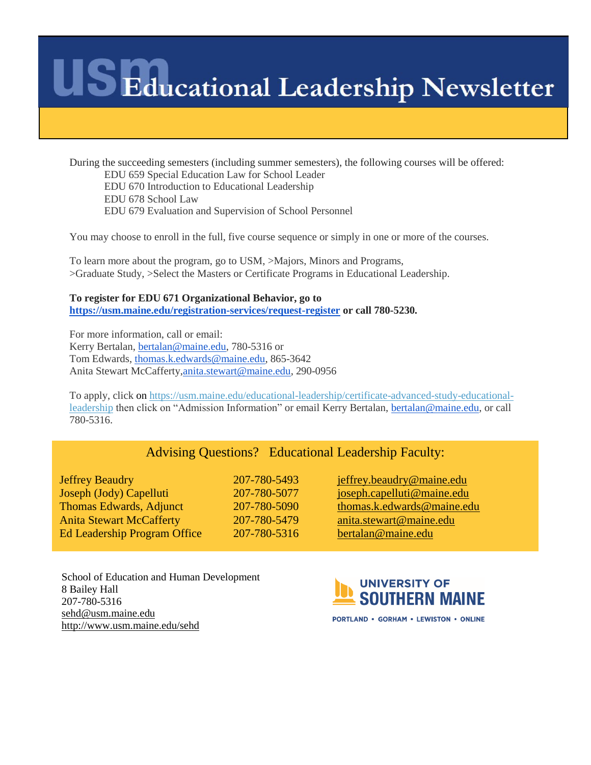During the succeeding semesters (including summer semesters), the following courses will be offered: EDU 659 Special Education Law for School Leader EDU 670 Introduction to Educational Leadership EDU 678 School Law EDU 679 Evaluation and Supervision of School Personnel

You may choose to enroll in the full, five course sequence or simply in one or more of the courses.

To learn more about the program, go to USM, >Majors, Minors and Programs, >Graduate Study, >Select the Masters or Certificate Programs in Educational Leadership.

**To register for EDU 671 Organizational Behavior, go to <https://usm.maine.edu/registration-services/request-register> or call 780-5230.**

For more information, call or email: Kerry Bertalan, [bertalan@maine.edu,](mailto:bertalan@maine.edu) 780-5316 or Tom Edwards, [thomas.k.edwards@maine.edu,](mailto:thomas.k.edwards@maine.edu) 865-3642 Anita Stewart McCafferty[,anita.stewart@maine.edu,](mailto:anita.stewart@maine.edu) 290-0956

To apply, click on [https://usm.maine.edu/educational-leadership/certificate-advanced-study-educational](https://usm.maine.edu/educational-leadership/certificate-advanced-study-educational-leadership)[leadership](https://usm.maine.edu/educational-leadership/certificate-advanced-study-educational-leadership) then click on "Admission Information" or email Kerry Bertalan, [bertalan@maine.edu,](mailto:bertalan@maine.edu) or call 780-5316.

#### Advising Questions? Educational Leadership Faculty:

Jeffrey Beaudry 207-780-5493 [jeffrey.beaudry@maine.edu](mailto:jeffrey.beaudry@maine.edu) Joseph (Jody) Capelluti 207-780-5077 [joseph.capelluti@maine.edu](mailto:joseph.capelluti@maine.edu) Thomas Edwards, Adjunct 207-780-5090 [thomas.k.edwards@maine.edu](mailto:thomas.k.edwards@maine.edu) Anita Stewart McCafferty 207-780-5479 [anita.stewart@maine.edu](mailto:anita.stewart@maine.edu) Ed Leadership Program Office 207-780-5316 [bertalan@maine.edu](mailto:bertalan@maine.edu)

School of Education and Human Development 8 Bailey Hall 207-780-5316 [sehd@usm.maine.edu](mailto:sehd@usm.maine.edu) <http://www.usm.maine.edu/sehd>